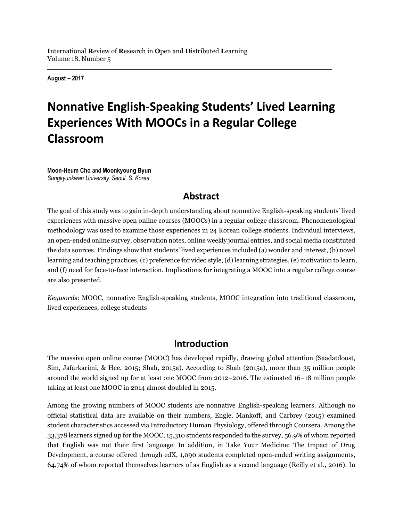**August – 2017**

# **Nonnative English-Speaking Students' Lived Learning Experiences With MOOCs in a Regular College Classroom**

**Moon-Heum Cho** and **Moonkyoung Byun** *Sungkyunkwan University, Seoul, S. Korea*

# **Abstract**

The goal of this study was to gain in-depth understanding about nonnative English-speaking students' lived experiences with massive open online courses (MOOCs) in a regular college classroom. Phenomenological methodology was used to examine those experiences in 24 Korean college students. Individual interviews, an open-ended online survey, observation notes, online weekly journal entries, and social media constituted the data sources. Findings show that students' lived experiences included (a) wonder and interest, (b) novel learning and teaching practices, (c) preference for video style, (d) learning strategies, (e) motivation to learn, and (f) need for face-to-face interaction. Implications for integrating a MOOC into a regular college course are also presented.

*Keywords*: MOOC, nonnative English-speaking students, MOOC integration into traditional classroom, lived experiences, college students

# **Introduction**

The massive open online course (MOOC) has developed rapidly, drawing global attention (Saadatdoost, Sim, Jafarkarimi, & Hee, 2015; Shah, 2015a). According to Shah (2015a), more than 35 million people around the world signed up for at least one MOOC from 2012–2016. The estimated 16–18 million people taking at least one MOOC in 2014 almost doubled in 2015.

Among the growing numbers of MOOC students are nonnative English-speaking learners. Although no official statistical data are available on their numbers, Engle, Mankoff, and Carbrey (2015) examined student characteristics accessed via Introductory Human Physiology, offered through Coursera. Among the 33,378 learners signed up for the MOOC, 15,310 students responded to the survey, 56.9% of whom reported that English was not their first language. In addition, in Take Your Medicine: The Impact of Drug Development, a course offered through edX, 1,090 students completed open-ended writing assignments, 64.74% of whom reported themselves learners of as English as a second language (Reilly et al., 2016). In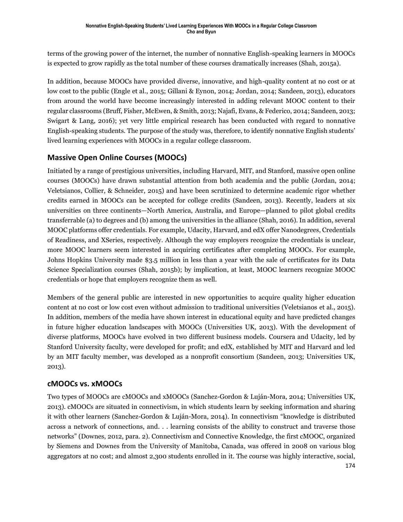terms of the growing power of the internet, the number of nonnative English-speaking learners in MOOCs is expected to grow rapidly as the total number of these courses dramatically increases (Shah, 2015a).

In addition, because MOOCs have provided diverse, innovative, and high-quality content at no cost or at low cost to the public (Engle et al., 2015; Gillani & Eynon, 2014; Jordan, 2014; Sandeen, 2013), educators from around the world have become increasingly interested in adding relevant MOOC content to their regular classrooms (Bruff, Fisher, McEwen, & Smith, 2013; Najafi, Evans, & Federico, 2014; Sandeen, 2013; Swigart & Lang, 2016); yet very little empirical research has been conducted with regard to nonnative English-speaking students. The purpose of the study was, therefore, to identify nonnative English students' lived learning experiences with MOOCs in a regular college classroom.

# **Massive Open Online Courses (MOOCs)**

Initiated by a range of prestigious universities, including Harvard, MIT, and Stanford, massive open online courses (MOOCs) have drawn substantial attention from both academia and the public (Jordan, 2014; Veletsianos, Collier, & Schneider, 2015) and have been scrutinized to determine academic rigor whether credits earned in MOOCs can be accepted for college credits (Sandeen, 2013). Recently, leaders at six universities on three continents—North America, Australia, and Europe—planned to pilot global credits transferrable (a) to degrees and (b) among the universities in the alliance (Shah, 2016). In addition, several MOOC platforms offer credentials. For example, Udacity, Harvard, and edX offer Nanodegrees, Credentials of Readiness, and XSeries, respectively. Although the way employers recognize the credentials is unclear, more MOOC learners seem interested in acquiring certificates after completing MOOCs. For example, Johns Hopkins University made \$3.5 million in less than a year with the sale of certificates for its Data Science Specialization courses (Shah, 2015b); by implication, at least, MOOC learners recognize MOOC credentials or hope that employers recognize them as well.

Members of the general public are interested in new opportunities to acquire quality higher education content at no cost or low cost even without admission to traditional universities (Veletsianos et al., 2015). In addition, members of the media have shown interest in educational equity and have predicted changes in future higher education landscapes with MOOCs (Universities UK, 2013). With the development of diverse platforms, MOOCs have evolved in two different business models. Coursera and Udacity, led by Stanford University faculty, were developed for profit; and edX, established by MIT and Harvard and led by an MIT faculty member, was developed as a nonprofit consortium (Sandeen, 2013; Universities UK, 2013).

# **cMOOCs vs. xMOOCs**

Two types of MOOCs are cMOOCs and xMOOCs (Sanchez-Gordon & [Luján-Mora,](https://library.iated.org/authors/Sergio_Luj%C3%A1n-Mora) 2014; Universities UK, 2013). cMOOCs are situated in connectivism, in which students learn by seeking information and sharing it with other learners (Sanchez-Gordon & [Luján-Mora,](https://library.iated.org/authors/Sergio_Luj%C3%A1n-Mora) 2014). In connectivism "knowledge is distributed across a network of connections, and. . . learning consists of the ability to construct and traverse those networks" (Downes, 2012, para. 2). Connectivism and Connective Knowledge, the first cMOOC, organized by Siemens and Downes from the University of Manitoba, Canada, was offered in 2008 on various blog aggregators at no cost; and almost 2,300 students enrolled in it. The course was highly interactive, social,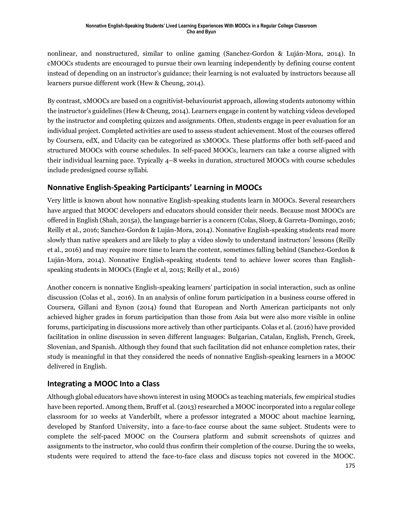nonlinear, and nonstructured, similar to online gaming (Sanchez-Gordon & [Luján-Mora,](https://library.iated.org/authors/Sergio_Luj%C3%A1n-Mora) 2014). In cMOOCs students are encouraged to pursue their own learning independently by defining course content instead of depending on an instructor's guidance; their learning is not evaluated by instructors because all learners pursue different work (Hew & Cheung, 2014).

By contrast, xMOOCs are based on a cognitivist-behaviourist approach, allowing students autonomy within the instructor's guidelines (Hew & Cheung, 2014). Learners engage in content by watching videos developed by the instructor and completing quizzes and assignments. Often, students engage in peer evaluation for an individual project. Completed activities are used to assess student achievement. Most of the courses offered by Coursera, edX, and Udacity can be categorized as xMOOCs. These platforms offer both self-paced and structured MOOCs with course schedules. In self-paced MOOCs, learners can take a course aligned with their individual learning pace. Typically 4–8 weeks in duration, structured MOOCs with course schedules include predesigned course syllabi.

# **Nonnative English-Speaking Participants' Learning in MOOCs**

Very little is known about how nonnative English-speaking students learn in MOOCs. Several researchers have argued that MOOC developers and educators should consider their needs. Because most MOOCs are offered in English (Shah, 2015a), the language barrier is a concern (Colas, Sloep, & Garreta-Domingo, 2016; Reilly et al., 2016; Sanchez-Gordon [& Luján-Mora,](https://library.iated.org/authors/Sergio_Luj%C3%A1n-Mora) 2014). Nonnative English-speaking students read more slowly than native speakers and are likely to play a video slowly to understand instructors' lessons (Reilly et al., 2016) and may require more time to learn the content, sometimes falling behind (Sanchez-Gordon & [Luján-Mora,](https://library.iated.org/authors/Sergio_Luj%C3%A1n-Mora) 2014). Nonnative English-speaking students tend to achieve lower scores than Englishspeaking students in MOOCs (Engle et al, 2015; Reilly et al., 2016)

Another concern is nonnative English-speaking learners' participation in social interaction, such as online discussion (Colas et al., 2016). In an analysis of online forum participation in a business course offered in Coursera, Gillani and Eynon (2014) found that European and North American participants not only achieved higher grades in forum participation than those from Asia but were also more visible in online forums, participating in discussions more actively than other participants. Colas et al. (2016) have provided facilitation in online discussion in seven different languages: Bulgarian, Catalan, English, French, Greek, Slovenian, and Spanish. Although they found that such facilitation did not enhance completion rates, their study is meaningful in that they considered the needs of nonnative English-speaking learners in a MOOC delivered in English.

# **Integrating a MOOC Into a Class**

Although global educators have shown interest in using MOOCs as teaching materials, few empirical studies have been reported. Among them, Bruff et al. (2013) researched a MOOC incorporated into a regular college classroom for 10 weeks at Vanderbilt, where a professor integrated a MOOC about machine learning, developed by Stanford University, into a face-to-face course about the same subject. Students were to complete the self-paced MOOC on the Coursera platform and submit screenshots of quizzes and assignments to the instructor, who could thus confirm their completion of the course. During the 10 weeks, students were required to attend the face-to-face class and discuss topics not covered in the MOOC.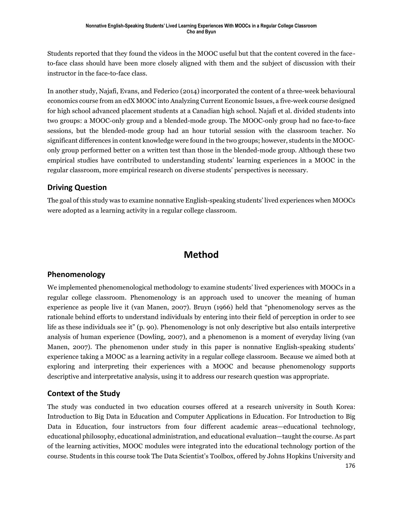Students reported that they found the videos in the MOOC useful but that the content covered in the faceto-face class should have been more closely aligned with them and the subject of discussion with their instructor in the face-to-face class.

In another study, Najafi, Evans, and Federico (2014) incorporated the content of a three-week behavioural economics course from an edX MOOC into Analyzing Current Economic Issues, a five-week course designed for high school advanced placement students at a Canadian high school. Najafi et al. divided students into two groups: a MOOC-only group and a blended-mode group. The MOOC-only group had no face-to-face sessions, but the blended-mode group had an hour tutorial session with the classroom teacher. No significant differences in content knowledge were found in the two groups; however, students in the MOOConly group performed better on a written test than those in the blended-mode group. Although these two empirical studies have contributed to understanding students' learning experiences in a MOOC in the regular classroom, more empirical research on diverse students' perspectives is necessary.

### **Driving Question**

The goal of this study was to examine nonnative English-speaking students' lived experiences when MOOCs were adopted as a learning activity in a regular college classroom.

# **Method**

# **Phenomenology**

We implemented phenomenological methodology to examine students' lived experiences with MOOCs in a regular college classroom. Phenomenology is an approach used to uncover the meaning of human experience as people live it (van Manen, 2007). Bruyn (1966) held that "phenomenology serves as the rationale behind efforts to understand individuals by entering into their field of perception in order to see life as these individuals see it" (p. 90). Phenomenology is not only descriptive but also entails interpretive analysis of human experience (Dowling, 2007), and a phenomenon is a moment of everyday living (van Manen, 2007). The phenomenon under study in this paper is nonnative English-speaking students' experience taking a MOOC as a learning activity in a regular college classroom. Because we aimed both at exploring and interpreting their experiences with a MOOC and because phenomenology supports descriptive and interpretative analysis, using it to address our research question was appropriate.

# **Context of the Study**

The study was conducted in two education courses offered at a research university in South Korea: Introduction to Big Data in Education and Computer Applications in Education. For Introduction to Big Data in Education, four instructors from four different academic areas—educational technology, educational philosophy, educational administration, and educational evaluation—taught the course. As part of the learning activities, MOOC modules were integrated into the educational technology portion of the course. Students in this course took The Data Scientist's Toolbox, offered by Johns Hopkins University and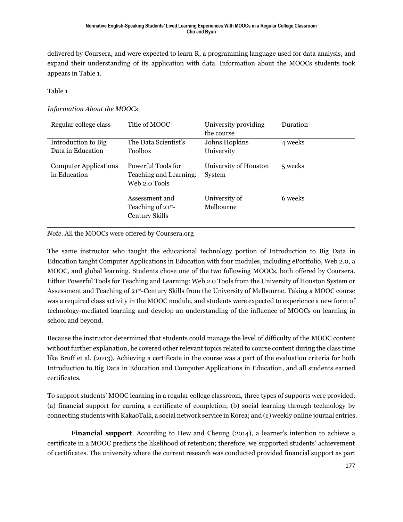delivered by Coursera, and were expected to learn R, a programming language used for data analysis, and expand their understanding of its application with data. Information about the MOOCs students took appears in Table 1.

Table 1

#### *Information About the MOOCs*

| Regular college class                        | Title of MOOC                                                 | University providing<br>the course | Duration |
|----------------------------------------------|---------------------------------------------------------------|------------------------------------|----------|
| Introduction to Big<br>Data in Education     | The Data Scientist's<br><b>Toolbox</b>                        | Johns Hopkins<br>University        | 4 weeks  |
| <b>Computer Applications</b><br>in Education | Powerful Tools for<br>Teaching and Learning:<br>Web 2.0 Tools | University of Houston<br>System    | 5 weeks  |
|                                              | Assessment and<br>Teaching of 21st-<br>Century Skills         | University of<br>Melbourne         | 6 weeks  |

#### *Note.* All the MOOCs were offered by Coursera.org

The same instructor who taught the educational technology portion of Introduction to Big Data in Education taught Computer Applications in Education with four modules, including ePortfolio, Web 2.0, a MOOC, and global learning. Students chose one of the two following MOOCs, both offered by Coursera. Either Powerful Tools for Teaching and Learning: Web 2.0 Tools from the University of Houston System or Assessment and Teaching of 21st-Century Skills from the University of Melbourne. Taking a MOOC course was a required class activity in the MOOC module, and students were expected to experience a new form of technology-mediated learning and develop an understanding of the influence of MOOCs on learning in school and beyond.

Because the instructor determined that students could manage the level of difficulty of the MOOC content without further explanation, he covered other relevant topics related to course content during the class time like Bruff et al. (2013). Achieving a certificate in the course was a part of the evaluation criteria for both Introduction to Big Data in Education and Computer Applications in Education, and all students earned certificates.

To support students' MOOC learning in a regular college classroom, three types of supports were provided: (a) financial support for earning a certificate of completion; (b) social learning through technology by connecting students with KakaoTalk, a social network service in Korea; and (c) weekly online journal entries.

**Financial support**. According to Hew and Cheung (2014), a learner's intention to achieve a certificate in a MOOC predicts the likelihood of retention; therefore, we supported students' achievement of certificates. The university where the current research was conducted provided financial support as part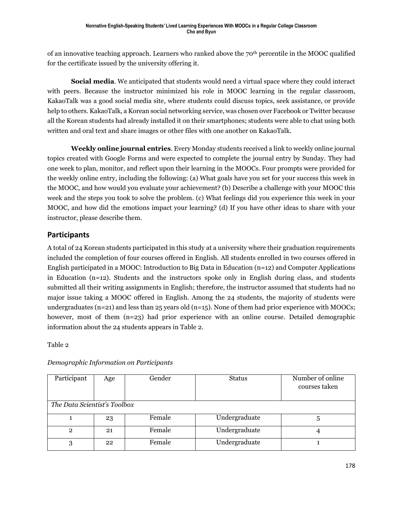of an innovative teaching approach. Learners who ranked above the  $70<sup>th</sup>$  percentile in the MOOC qualified for the certificate issued by the university offering it.

**Social media**. We anticipated that students would need a virtual space where they could interact with peers. Because the instructor minimized his role in MOOC learning in the regular classroom, KakaoTalk was a good social media site, where students could discuss topics, seek assistance, or provide help to others. KakaoTalk, a Korean social networking service, was chosen over Facebook or Twitter because all the Korean students had already installed it on their smartphones; students were able to chat using both written and oral text and share images or other files with one another on KakaoTalk.

**Weekly online journal entries**. Every Monday students received a link to weekly online journal topics created with Google Forms and were expected to complete the journal entry by Sunday. They had one week to plan, monitor, and reflect upon their learning in the MOOCs. Four prompts were provided for the weekly online entry, including the following: (a) What goals have you set for your success this week in the MOOC, and how would you evaluate your achievement? (b) Describe a challenge with your MOOC this week and the steps you took to solve the problem. (c) What feelings did you experience this week in your MOOC, and how did the emotions impact your learning? (d) If you have other ideas to share with your instructor, please describe them.

# **Participants**

A total of 24 Korean students participated in this study at a university where their graduation requirements included the completion of four courses offered in English. All students enrolled in two courses offered in English participated in a MOOC: Introduction to Big Data in Education (n=12) and Computer Applications in Education (n=12). Students and the instructors spoke only in English during class, and students submitted all their writing assignments in English; therefore, the instructor assumed that students had no major issue taking a MOOC offered in English. Among the 24 students, the majority of students were undergraduates ( $n=21$ ) and less than 25 years old ( $n=15$ ). None of them had prior experience with MOOCs; however, most of them  $(n=23)$  had prior experience with an online course. Detailed demographic information about the 24 students appears in Table 2.

Table 2

| Participant                  | Age | Gender | <b>Status</b> | Number of online<br>courses taken |  |
|------------------------------|-----|--------|---------------|-----------------------------------|--|
| The Data Scientist's Toolbox |     |        |               |                                   |  |
|                              | 23  | Female | Undergraduate | 5                                 |  |
| $\overline{2}$               | 21  | Female | Undergraduate |                                   |  |
| 3                            | 22  | Female | Undergraduate |                                   |  |

#### *Demographic Information on Participants*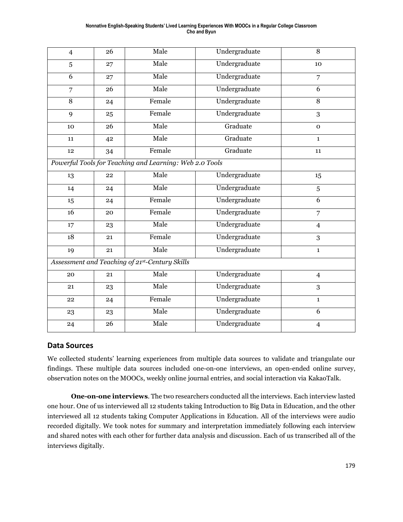| Nonnative English-Speaking Students' Lived Learning Experiences With MOOCs in a Regular College Classroom |              |  |
|-----------------------------------------------------------------------------------------------------------|--------------|--|
|                                                                                                           | Cho and Byun |  |

| $\overline{4}$                                          | 26 | Male   | Undergraduate | 8              |  |
|---------------------------------------------------------|----|--------|---------------|----------------|--|
| 5                                                       | 27 | Male   | Undergraduate | 10             |  |
| $\overline{6}$                                          | 27 | Male   | Undergraduate | $\overline{7}$ |  |
| $\overline{7}$                                          | 26 | Male   | Undergraduate | 6              |  |
| 8                                                       | 24 | Female | Undergraduate | 8              |  |
| 9                                                       | 25 | Female | Undergraduate | 3              |  |
| 10                                                      | 26 | Male   | Graduate      | $\mathbf{O}$   |  |
| 11                                                      | 42 | Male   | Graduate      | $\mathbf{1}$   |  |
| 12                                                      | 34 | Female | Graduate      | 11             |  |
| Powerful Tools for Teaching and Learning: Web 2.0 Tools |    |        |               |                |  |
| 13                                                      | 22 | Male   | Undergraduate | 15             |  |
| 14                                                      | 24 | Male   | Undergraduate | 5              |  |
| 15                                                      | 24 | Female | Undergraduate | 6              |  |
| $\overline{16}$                                         | 20 | Female | Undergraduate | $\overline{7}$ |  |
| 17                                                      | 23 | Male   | Undergraduate | $\overline{4}$ |  |
| $\overline{18}$                                         | 21 | Female | Undergraduate | 3              |  |
| 19                                                      | 21 | Male   | Undergraduate | $\mathbf{1}$   |  |
| Assessment and Teaching of 21st-Century Skills          |    |        |               |                |  |
| 20                                                      | 21 | Male   | Undergraduate | $\overline{4}$ |  |
| 21                                                      | 23 | Male   | Undergraduate | 3              |  |
| 22                                                      | 24 | Female | Undergraduate | $\mathbf{1}$   |  |
| 23                                                      | 23 | Male   | Undergraduate | 6              |  |
| 24                                                      | 26 | Male   | Undergraduate | $\overline{4}$ |  |

#### **Data Sources**

We collected students' learning experiences from multiple data sources to validate and triangulate our findings. These multiple data sources included one-on-one interviews, an open-ended online survey, observation notes on the MOOCs, weekly online journal entries, and social interaction via KakaoTalk.

**One-on-one interviews**. The two researchers conducted all the interviews. Each interview lasted one hour. One of us interviewed all 12 students taking Introduction to Big Data in Education, and the other interviewed all 12 students taking Computer Applications in Education. All of the interviews were audio recorded digitally. We took notes for summary and interpretation immediately following each interview and shared notes with each other for further data analysis and discussion. Each of us transcribed all of the interviews digitally.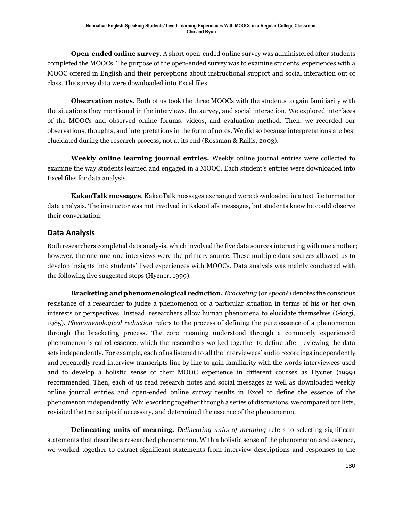**Open-ended online survey.** A short open-ended online survey was administered after students completed the MOOCs. The purpose of the open-ended survey was to examine students' experiences with a MOOC offered in English and their perceptions about instructional support and social interaction out of class. The survey data were downloaded into Excel files.

**Observation notes**. Both of us took the three MOOCs with the students to gain familiarity with the situations they mentioned in the interviews, the survey, and social interaction. We explored interfaces of the MOOCs and observed online forums, videos, and evaluation method. Then, we recorded our observations, thoughts, and interpretations in the form of notes. We did so because interpretations are best elucidated during the research process, not at its end (Rossman & Rallis, 2003).

**Weekly online learning journal entries.** Weekly online journal entries were collected to examine the way students learned and engaged in a MOOC. Each student's entries were downloaded into Excel files for data analysis.

**KakaoTalk messages**. KakaoTalk messages exchanged were downloaded in a text file format for data analysis. The instructor was not involved in KakaoTalk messages, but students knew he could observe their conversation.

### **Data Analysis**

Both researchers completed data analysis, which involved the five data sources interacting with one another; however, the one-one-one interviews were the primary source. These multiple data sources allowed us to develop insights into students' lived experiences with MOOCs. Data analysis was mainly conducted with the following five suggested steps (Hycner, 1999).

**Bracketing and phenomenological reduction.** *Bracketing* (or *epoché*) denotes the conscious resistance of a researcher to judge a phenomenon or a particular situation in terms of his or her own interests or perspectives. Instead, researchers allow human phenomena to elucidate themselves (Giorgi, 1985). *Phenomenological reduction* refers to the process of defining the pure essence of a phenomenon through the bracketing process. The core meaning understood through a commonly experienced phenomenon is called essence, which the researchers worked together to define after reviewing the data sets independently. For example, each of us listened to all the interviewees' audio recordings independently and repeatedly read interview transcripts line by line to gain familiarity with the words interviewees used and to develop a holistic sense of their MOOC experience in different courses as Hycner (1999) recommended. Then, each of us read research notes and social messages as well as downloaded weekly online journal entries and open-ended online survey results in Excel to define the essence of the phenomenon independently. While working together through a series of discussions, we compared our lists, revisited the transcripts if necessary, and determined the essence of the phenomenon.

**Delineating units of meaning.** *Delineating units of meaning* refers to selecting significant statements that describe a researched phenomenon. With a holistic sense of the phenomenon and essence, we worked together to extract significant statements from interview descriptions and responses to the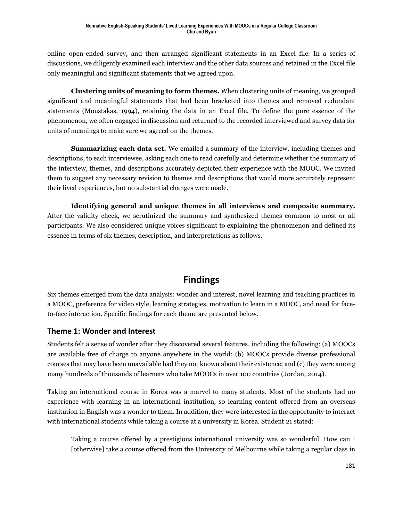online open-ended survey, and then arranged significant statements in an Excel file. In a series of discussions, we diligently examined each interview and the other data sources and retained in the Excel file only meaningful and significant statements that we agreed upon.

**Clustering units of meaning to form themes.** When clustering units of meaning, we grouped significant and meaningful statements that had been bracketed into themes and removed redundant statements (Moustakas, 1994), retaining the data in an Excel file. To define the pure essence of the phenomenon, we often engaged in discussion and returned to the recorded interviewed and survey data for units of meanings to make sure we agreed on the themes.

**Summarizing each data set.** We emailed a summary of the interview, including themes and descriptions, to each interviewee, asking each one to read carefully and determine whether the summary of the interview, themes, and descriptions accurately depicted their experience with the MOOC. We invited them to suggest any necessary revision to themes and descriptions that would more accurately represent their lived experiences, but no substantial changes were made.

**Identifying general and unique themes in all interviews and composite summary.** After the validity check, we scrutinized the summary and synthesized themes common to most or all participants. We also considered unique voices significant to explaining the phenomenon and defined its essence in terms of six themes, description, and interpretations as follows.

# **Findings**

Six themes emerged from the data analysis: wonder and interest, novel learning and teaching practices in a MOOC, preference for video style, learning strategies, motivation to learn in a MOOC, and need for faceto-face interaction. Specific findings for each theme are presented below.

# **Theme 1: Wonder and Interest**

Students felt a sense of wonder after they discovered several features, including the following: (a) MOOCs are available free of charge to anyone anywhere in the world; (b) MOOCs provide diverse professional courses that may have been unavailable had they not known about their existence; and (c) they were among many hundreds of thousands of learners who take MOOCs in over 100 countries (Jordan, 2014).

Taking an international course in Korea was a marvel to many students. Most of the students had no experience with learning in an international institution, so learning content offered from an overseas institution in English was a wonder to them. In addition, they were interested in the opportunity to interact with international students while taking a course at a university in Korea. Student 21 stated:

Taking a course offered by a prestigious international university was so wonderful. How can I [otherwise] take a course offered from the University of Melbourne while taking a regular class in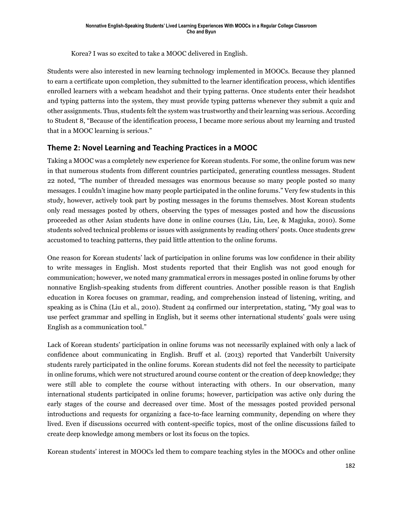Korea? I was so excited to take a MOOC delivered in English.

Students were also interested in new learning technology implemented in MOOCs. Because they planned to earn a certificate upon completion, they submitted to the learner identification process, which identifies enrolled learners with a webcam headshot and their typing patterns. Once students enter their headshot and typing patterns into the system, they must provide typing patterns whenever they submit a quiz and other assignments. Thus, students felt the system was trustworthy and their learning was serious. According to Student 8, "Because of the identification process, I became more serious about my learning and trusted that in a MOOC learning is serious."

# **Theme 2: Novel Learning and Teaching Practices in a MOOC**

Taking a MOOC was a completely new experience for Korean students. For some, the online forum was new in that numerous students from different countries participated, generating countless messages. Student 22 noted, "The number of threaded messages was enormous because so many people posted so many messages. I couldn't imagine how many people participated in the online forums." Very few students in this study, however, actively took part by posting messages in the forums themselves. Most Korean students only read messages posted by others, observing the types of messages posted and how the discussions proceeded as other Asian students have done in online courses (Liu, Liu, Lee, & Magjuka, 2010). Some students solved technical problems or issues with assignments by reading others' posts. Once students grew accustomed to teaching patterns, they paid little attention to the online forums.

One reason for Korean students' lack of participation in online forums was low confidence in their ability to write messages in English. Most students reported that their English was not good enough for communication; however, we noted many grammatical errors in messages posted in online forums by other nonnative English-speaking students from different countries. Another possible reason is that English education in Korea focuses on grammar, reading, and comprehension instead of listening, writing, and speaking as is China (Liu et al., 2010). Student 24 confirmed our interpretation, stating, "My goal was to use perfect grammar and spelling in English, but it seems other international students' goals were using English as a communication tool."

Lack of Korean students' participation in online forums was not necessarily explained with only a lack of confidence about communicating in English. Bruff et al. (2013) reported that Vanderbilt University students rarely participated in the online forums. Korean students did not feel the necessity to participate in online forums, which were not structured around course content or the creation of deep knowledge; they were still able to complete the course without interacting with others. In our observation, many international students participated in online forums; however, participation was active only during the early stages of the course and decreased over time. Most of the messages posted provided personal introductions and requests for organizing a face-to-face learning community, depending on where they lived. Even if discussions occurred with content-specific topics, most of the online discussions failed to create deep knowledge among members or lost its focus on the topics.

Korean students' interest in MOOCs led them to compare teaching styles in the MOOCs and other online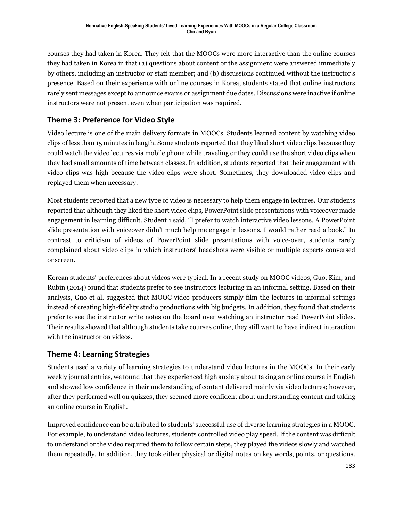courses they had taken in Korea. They felt that the MOOCs were more interactive than the online courses they had taken in Korea in that (a) questions about content or the assignment were answered immediately by others, including an instructor or staff member; and (b) discussions continued without the instructor's presence. Based on their experience with online courses in Korea, students stated that online instructors rarely sent messages except to announce exams or assignment due dates. Discussions were inactive if online instructors were not present even when participation was required.

# **Theme 3: Preference for Video Style**

Video lecture is one of the main delivery formats in MOOCs. Students learned content by watching video clips of less than 15 minutes in length. Some students reported that they liked short video clips because they could watch the video lectures via mobile phone while traveling or they could use the short video clips when they had small amounts of time between classes. In addition, students reported that their engagement with video clips was high because the video clips were short. Sometimes, they downloaded video clips and replayed them when necessary.

Most students reported that a new type of video is necessary to help them engage in lectures. Our students reported that although they liked the short video clips, PowerPoint slide presentations with voiceover made engagement in learning difficult. Student 1 said, "I prefer to watch interactive video lessons. A PowerPoint slide presentation with voiceover didn't much help me engage in lessons. I would rather read a book." In contrast to criticism of videos of PowerPoint slide presentations with voice-over, students rarely complained about video clips in which instructors' headshots were visible or multiple experts conversed onscreen.

Korean students' preferences about videos were typical. In a recent study on MOOC videos, Guo, Kim, and Rubin (2014) found that students prefer to see instructors lecturing in an informal setting. Based on their analysis, Guo et al. suggested that MOOC video producers simply film the lectures in informal settings instead of creating high-fidelity studio productions with big budgets. In addition, they found that students prefer to see the instructor write notes on the board over watching an instructor read PowerPoint slides. Their results showed that although students take courses online, they still want to have indirect interaction with the instructor on videos.

# **Theme 4: Learning Strategies**

Students used a variety of learning strategies to understand video lectures in the MOOCs. In their early weekly journal entries, we found that they experienced high anxiety about taking an online course in English and showed low confidence in their understanding of content delivered mainly via video lectures; however, after they performed well on quizzes, they seemed more confident about understanding content and taking an online course in English.

Improved confidence can be attributed to students' successful use of diverse learning strategies in a MOOC. For example, to understand video lectures, students controlled video play speed. If the content was difficult to understand or the video required them to follow certain steps, they played the videos slowly and watched them repeatedly. In addition, they took either physical or digital notes on key words, points, or questions.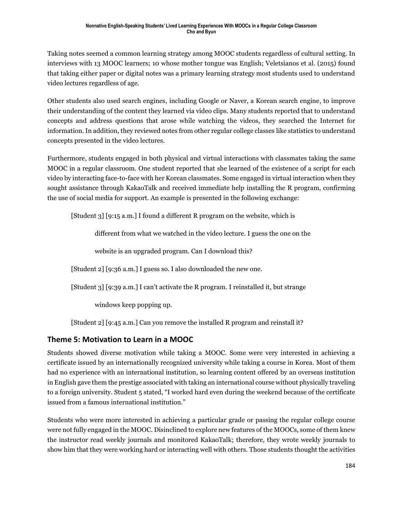Taking notes seemed a common learning strategy among MOOC students regardless of cultural setting. In interviews with 13 MOOC learners; 10 whose mother tongue was English; Veletsianos et al. (2015) found that taking either paper or digital notes was a primary learning strategy most students used to understand video lectures regardless of age.

Other students also used search engines, including Google or Naver, a Korean search engine, to improve their understanding of the content they learned via video clips. Many students reported that to understand concepts and address questions that arose while watching the videos, they searched the Internet for information. In addition, they reviewed notes from other regular college classes like statistics to understand concepts presented in the video lectures.

Furthermore, students engaged in both physical and virtual interactions with classmates taking the same MOOC in a regular classroom. One student reported that she learned of the existence of a script for each video by interacting face-to-face with her Korean classmates. Some engaged in virtual interaction when they sought assistance through KakaoTalk and received immediate help installing the R program, confirming the use of social media for support. An example is presented in the following exchange:

[Student 3] [9:15 a.m.] I found a different R program on the website, which is

different from what we watched in the video lecture. I guess the one on the

website is an upgraded program. Can I download this?

[Student 2] [9:36 a.m.] I guess so. I also downloaded the new one.

[Student 3] [9:39 a.m.] I can't activate the R program. I reinstalled it, but strange

windows keep popping up.

[Student 2] [9:45 a.m.] Can you remove the installed R program and reinstall it?

#### **Theme 5: Motivation to Learn in a MOOC**

Students showed diverse motivation while taking a MOOC. Some were very interested in achieving a certificate issued by an internationally recognized university while taking a course in Korea. Most of them had no experience with an international institution, so learning content offered by an overseas institution in English gave them the prestige associated with taking an international course without physically traveling to a foreign university. Student 5 stated, "I worked hard even during the weekend because of the certificate issued from a famous international institution."

Students who were more interested in achieving a particular grade or passing the regular college course were not fully engaged in the MOOC. Disinclined to explore new features of the MOOCs, some of them knew the instructor read weekly journals and monitored KakaoTalk; therefore, they wrote weekly journals to show him that they were working hard or interacting well with others. Those students thought the activities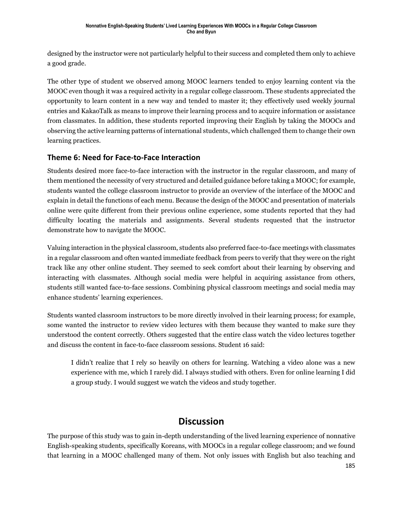designed by the instructor were not particularly helpful to their success and completed them only to achieve a good grade.

The other type of student we observed among MOOC learners tended to enjoy learning content via the MOOC even though it was a required activity in a regular college classroom. These students appreciated the opportunity to learn content in a new way and tended to master it; they effectively used weekly journal entries and KakaoTalk as means to improve their learning process and to acquire information or assistance from classmates. In addition, these students reported improving their English by taking the MOOCs and observing the active learning patterns of international students, which challenged them to change their own learning practices.

# **Theme 6: Need for Face-to-Face Interaction**

Students desired more face-to-face interaction with the instructor in the regular classroom, and many of them mentioned the necessity of very structured and detailed guidance before taking a MOOC; for example, students wanted the college classroom instructor to provide an overview of the interface of the MOOC and explain in detail the functions of each menu. Because the design of the MOOC and presentation of materials online were quite different from their previous online experience, some students reported that they had difficulty locating the materials and assignments. Several students requested that the instructor demonstrate how to navigate the MOOC.

Valuing interaction in the physical classroom, students also preferred face-to-face meetings with classmates in a regular classroom and often wanted immediate feedback from peers to verify that they were on the right track like any other online student. They seemed to seek comfort about their learning by observing and interacting with classmates. Although social media were helpful in acquiring assistance from others, students still wanted face-to-face sessions. Combining physical classroom meetings and social media may enhance students' learning experiences.

Students wanted classroom instructors to be more directly involved in their learning process; for example, some wanted the instructor to review video lectures with them because they wanted to make sure they understood the content correctly. Others suggested that the entire class watch the video lectures together and discuss the content in face-to-face classroom sessions. Student 16 said:

I didn't realize that I rely so heavily on others for learning. Watching a video alone was a new experience with me, which I rarely did. I always studied with others. Even for online learning I did a group study. I would suggest we watch the videos and study together.

# **Discussion**

The purpose of this study was to gain in-depth understanding of the lived learning experience of nonnative English-speaking students, specifically Koreans, with MOOCs in a regular college classroom; and we found that learning in a MOOC challenged many of them. Not only issues with English but also teaching and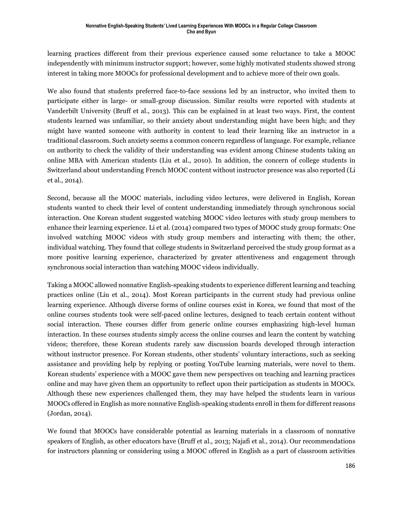learning practices different from their previous experience caused some reluctance to take a MOOC independently with minimum instructor support; however, some highly motivated students showed strong interest in taking more MOOCs for professional development and to achieve more of their own goals.

We also found that students preferred face-to-face sessions led by an instructor, who invited them to participate either in large- or small-group discussion. Similar results were reported with students at Vanderbilt University (Bruff et al., 2013). This can be explained in at least two ways. First, the content students learned was unfamiliar, so their anxiety about understanding might have been high; and they might have wanted someone with authority in content to lead their learning like an instructor in a traditional classroom. Such anxiety seems a common concern regardless of language. For example, reliance on authority to check the validity of their understanding was evident among Chinese students taking an online MBA with American students (Liu et al., 2010). In addition, the concern of college students in Switzerland about understanding French MOOC content without instructor presence was also reported (Li et al., 2014).

Second, because all the MOOC materials, including video lectures, were delivered in English, Korean students wanted to check their level of content understanding immediately through synchronous social interaction. One Korean student suggested watching MOOC video lectures with study group members to enhance their learning experience. Li et al. (2014) compared two types of MOOC study group formats: One involved watching MOOC videos with study group members and interacting with them; the other, individual watching. They found that college students in Switzerland perceived the study group format as a more positive learning experience, characterized by greater attentiveness and engagement through synchronous social interaction than watching MOOC videos individually.

Taking a MOOC allowed nonnative English-speaking students to experience different learning and teaching practices online (Liu et al., 2014). Most Korean participants in the current study had previous online learning experience. Although diverse forms of online courses exist in Korea, we found that most of the online courses students took were self-paced online lectures, designed to teach certain content without social interaction. These courses differ from generic online courses emphasizing high-level human interaction. In these courses students simply access the online courses and learn the content by watching videos; therefore, these Korean students rarely saw discussion boards developed through interaction without instructor presence. For Korean students, other students' voluntary interactions, such as seeking assistance and providing help by replying or posting YouTube learning materials, were novel to them. Korean students' experience with a MOOC gave them new perspectives on teaching and learning practices online and may have given them an opportunity to reflect upon their participation as students in MOOCs. Although these new experiences challenged them, they may have helped the students learn in various MOOCs offered in English as more nonnative English-speaking students enroll in them for different reasons (Jordan, 2014).

We found that MOOCs have considerable potential as learning materials in a classroom of nonnative speakers of English, as other educators have (Bruff et al., 2013; Najafi et al., 2014). Our recommendations for instructors planning or considering using a MOOC offered in English as a part of classroom activities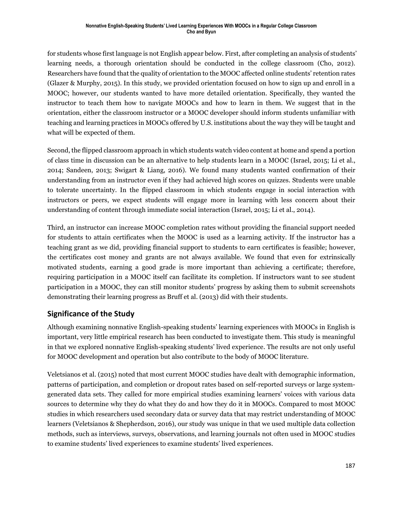for students whose first language is not English appear below. First, after completing an analysis of students' learning needs, a thorough orientation should be conducted in the college classroom (Cho, 2012). Researchers have found that the quality of orientation to the MOOC affected online students' retention rates (Glazer & Murphy, 2015). In this study, we provided orientation focused on how to sign up and enroll in a MOOC; however, our students wanted to have more detailed orientation. Specifically, they wanted the instructor to teach them how to navigate MOOCs and how to learn in them. We suggest that in the orientation, either the classroom instructor or a MOOC developer should inform students unfamiliar with teaching and learning practices in MOOCs offered by U.S. institutions about the way they will be taught and what will be expected of them.

Second, the flipped classroom approach in which students watch video content at home and spend a portion of class time in discussion can be an alternative to help students learn in a MOOC (Israel, 2015; Li et al., 2014; Sandeen, 2013; Swigart & Liang, 2016). We found many students wanted confirmation of their understanding from an instructor even if they had achieved high scores on quizzes. Students were unable to tolerate uncertainty. In the flipped classroom in which students engage in social interaction with instructors or peers, we expect students will engage more in learning with less concern about their understanding of content through immediate social interaction (Israel, 2015; Li et al., 2014).

Third, an instructor can increase MOOC completion rates without providing the financial support needed for students to attain certificates when the MOOC is used as a learning activity. If the instructor has a teaching grant as we did, providing financial support to students to earn certificates is feasible; however, the certificates cost money and grants are not always available. We found that even for extrinsically motivated students, earning a good grade is more important than achieving a certificate; therefore, requiring participation in a MOOC itself can facilitate its completion. If instructors want to see student participation in a MOOC, they can still monitor students' progress by asking them to submit screenshots demonstrating their learning progress as Bruff et al. (2013) did with their students.

# **Significance of the Study**

Although examining nonnative English-speaking students' learning experiences with MOOCs in English is important, very little empirical research has been conducted to investigate them. This study is meaningful in that we explored nonnative English-speaking students' lived experience. The results are not only useful for MOOC development and operation but also contribute to the body of MOOC literature.

Veletsianos et al. (2015) noted that most current MOOC studies have dealt with demographic information, patterns of participation, and completion or dropout rates based on self-reported surveys or large systemgenerated data sets. They called for more empirical studies examining learners' voices with various data sources to determine why they do what they do and how they do it in MOOCs. Compared to most MOOC studies in which researchers used secondary data or survey data that may restrict understanding of MOOC learners (Veletsianos & Shepherdson, 2016), our study was unique in that we used multiple data collection methods, such as interviews, surveys, observations, and learning journals not often used in MOOC studies to examine students' lived experiences to examine students' lived experiences.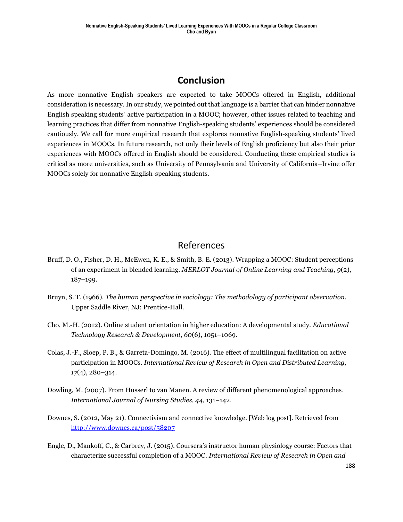# **Conclusion**

As more nonnative English speakers are expected to take MOOCs offered in English, additional consideration is necessary. In our study, we pointed out that language is a barrier that can hinder nonnative English speaking students' active participation in a MOOC; however, other issues related to teaching and learning practices that differ from nonnative English-speaking students' experiences should be considered cautiously. We call for more empirical research that explores nonnative English-speaking students' lived experiences in MOOCs. In future research, not only their levels of English proficiency but also their prior experiences with MOOCs offered in English should be considered. Conducting these empirical studies is critical as more universities, such as University of Pennsylvania and University of California–Irvine offer MOOCs solely for nonnative English-speaking students.

# References

- Bruff, D. O., Fisher, D. H., McEwen, K. E., & Smith, B. E. (2013). Wrapping a MOOC: Student perceptions of an experiment in blended learning. *MERLOT Journal of Online Learning and Teaching, 9*(2), 187–199.
- Bruyn, S. T. (1966). *The human perspective in sociology: The methodology of participant observation.* Upper Saddle River, NJ: Prentice-Hall.
- Cho, M.-H. (2012). Online student orientation in higher education: A developmental study. *Educational Technology Research & Development, 60*(6), 1051–1069.
- Colas, J.-F., Sloep, P. B., & Garreta-Domingo, M. (2016). The effect of multilingual facilitation on active participation in MOOCs. *International Review of Research in Open and Distributed Learning, 17*(4), 280–314.
- Dowling, M. (2007). From Husserl to van Manen. A review of different phenomenological approaches*. International Journal of Nursing Studies, 44,* 131–142.
- Downes, S. (2012, May 21). Connectivism and connective knowledge. [Web log post]. Retrieved from <http://www.downes.ca/post/58207>
- Engle, D., Mankoff, C., & Carbrey, J. (2015). Coursera's instructor human physiology course: Factors that characterize successful completion of a MOOC. *International Review of Research in Open and*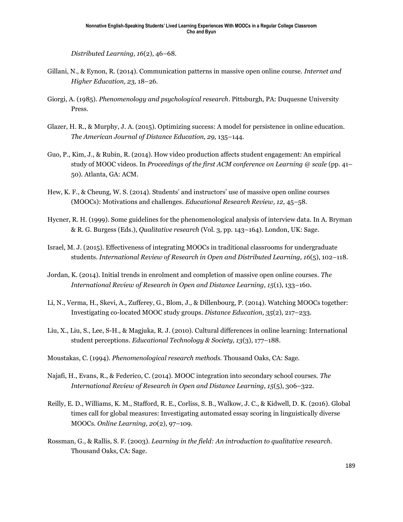*Distributed Learning, 16*(2), 46–68.

- Gillani, N., & Eynon, R. (2014). Communication patterns in massive open online course. *Internet and Higher Education, 23,* 18–26.
- Giorgi, A. (1985). *Phenomenology and psychological research*. Pittsburgh, PA: Duquesne University Press.
- Glazer, H. R., & Murphy, J. A. (2015). Optimizing success: A model for persistence in online education. *The American Journal of Distance Education, 29,* 135–144.
- Guo, P., Kim, J., & Rubin, R. (2014). How video production affects student engagement: An empirical study of MOOC videos. In *Proceedings of the first ACM conference on Learning @ scale* (pp. 41– 50). Atlanta, GA: ACM.
- Hew, K. F., & Cheung, W. S. (2014). Students' and instructors' use of massive open online courses (MOOCs): Motivations and challenges. *Educational Research Review, 12,* 45–58.
- Hycner, R. H. (1999). Some guidelines for the phenomenological analysis of interview data. In A. Bryman & R. G. Burgess (Eds.), *Qualitative research* (Vol. 3, pp. 143–164). London, UK: Sage.
- Israel, M. J. (2015). Effectiveness of integrating MOOCs in traditional classrooms for undergraduate students*. International Review of Research in Open and Distributed Learning, 16*(5), 102–118.
- Jordan, K. (2014). Initial trends in enrolment and completion of massive open online courses. *The International Review of Research in Open and Distance Learning, 15*(1), 133–160.
- Li, N., Verma, H., Skevi, A., Zufferey, G., Blom, J., & Dillenbourg, P. (2014). Watching MOOCs together: Investigating co-located MOOC study groups. *Distance Education, 35*(2), 217–233.
- Liu, X., Liu, S., Lee, S-H., & Magjuka, R. J. (2010). Cultural differences in online learning: International student perceptions. *Educational Technology & Society, 13*(3), 177–188.
- Moustakas, C. (1994). *Phenomenological research methods.* Thousand Oaks, CA: Sage.
- Najafi, H., Evans, R., & Federico, C. (2014). MOOC integration into secondary school courses. *The International Review of Research in Open and Distance Learning, 15*(5), 306–322.
- Reilly, E. D., Williams, K. M., Stafford, R. E., Corliss, S. B., Walkow, J. C., & Kidwell, D. K. (2016). Global times call for global measures: Investigating automated essay scoring in linguistically diverse MOOCs. *Online Learning, 20*(2), 97–109.
- Rossman, G., & Rallis, S. F. (2003). *Learning in the field: An introduction to qualitative research.* Thousand Oaks, CA: Sage.